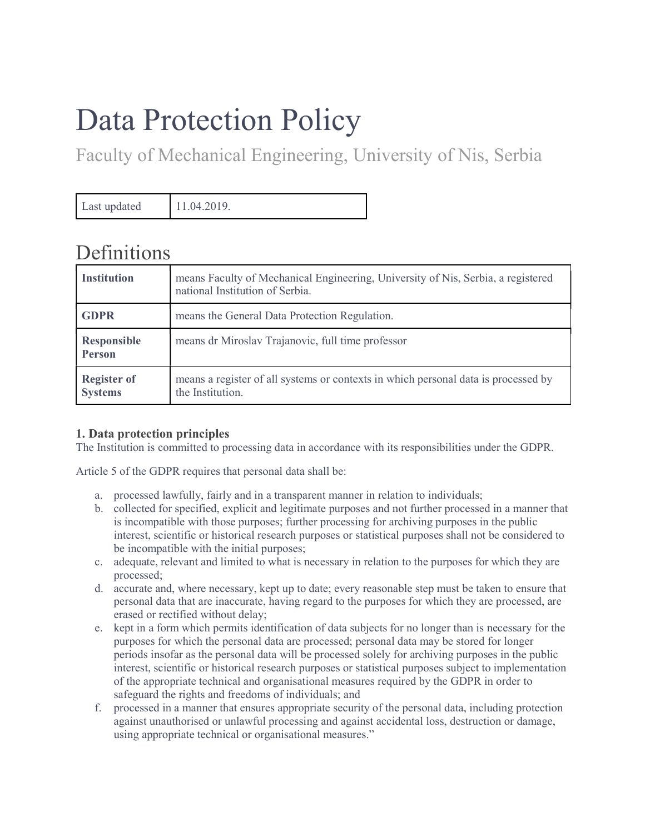# Data Protection Policy

Faculty of Mechanical Engineering, University of Nis, Serbia

Last updated 11.04.2019.

# **Definitions**

| <b>Institution</b>                   | means Faculty of Mechanical Engineering, University of Nis, Serbia, a registered<br>national Institution of Serbia. |
|--------------------------------------|---------------------------------------------------------------------------------------------------------------------|
| <b>GDPR</b>                          | means the General Data Protection Regulation.                                                                       |
| <b>Responsible</b><br><b>Person</b>  | means dr Miroslav Trajanovic, full time professor                                                                   |
| <b>Register of</b><br><b>Systems</b> | means a register of all systems or contexts in which personal data is processed by<br>the Institution.              |

## 1. Data protection principles

The Institution is committed to processing data in accordance with its responsibilities under the GDPR.

Article 5 of the GDPR requires that personal data shall be:

- a. processed lawfully, fairly and in a transparent manner in relation to individuals;
- b. collected for specified, explicit and legitimate purposes and not further processed in a manner that is incompatible with those purposes; further processing for archiving purposes in the public interest, scientific or historical research purposes or statistical purposes shall not be considered to be incompatible with the initial purposes;
- c. adequate, relevant and limited to what is necessary in relation to the purposes for which they are processed;
- d. accurate and, where necessary, kept up to date; every reasonable step must be taken to ensure that personal data that are inaccurate, having regard to the purposes for which they are processed, are erased or rectified without delay;
- e. kept in a form which permits identification of data subjects for no longer than is necessary for the purposes for which the personal data are processed; personal data may be stored for longer periods insofar as the personal data will be processed solely for archiving purposes in the public interest, scientific or historical research purposes or statistical purposes subject to implementation of the appropriate technical and organisational measures required by the GDPR in order to safeguard the rights and freedoms of individuals; and
- f. processed in a manner that ensures appropriate security of the personal data, including protection against unauthorised or unlawful processing and against accidental loss, destruction or damage, using appropriate technical or organisational measures."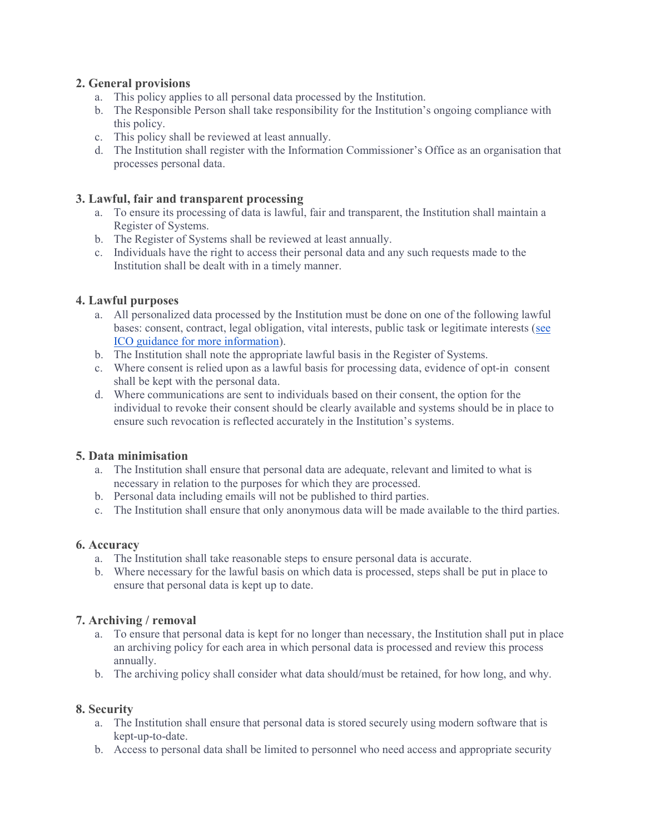### 2. General provisions

- a. This policy applies to all personal data processed by the Institution.
- b. The Responsible Person shall take responsibility for the Institution's ongoing compliance with this policy.
- c. This policy shall be reviewed at least annually.
- d. The Institution shall register with the Information Commissioner's Office as an organisation that processes personal data.

#### 3. Lawful, fair and transparent processing

- a. To ensure its processing of data is lawful, fair and transparent, the Institution shall maintain a Register of Systems.
- b. The Register of Systems shall be reviewed at least annually.
- c. Individuals have the right to access their personal data and any such requests made to the Institution shall be dealt with in a timely manner.

#### 4. Lawful purposes

- a. All personalized data processed by the Institution must be done on one of the following lawful bases: consent, contract, legal obligation, vital interests, public task or legitimate interests (see ICO guidance for more information).
- b. The Institution shall note the appropriate lawful basis in the Register of Systems.
- c. Where consent is relied upon as a lawful basis for processing data, evidence of opt-in consent shall be kept with the personal data.
- d. Where communications are sent to individuals based on their consent, the option for the individual to revoke their consent should be clearly available and systems should be in place to ensure such revocation is reflected accurately in the Institution's systems.

#### 5. Data minimisation

- a. The Institution shall ensure that personal data are adequate, relevant and limited to what is necessary in relation to the purposes for which they are processed.
- b. Personal data including emails will not be published to third parties.
- c. The Institution shall ensure that only anonymous data will be made available to the third parties.

#### 6. Accuracy

- a. The Institution shall take reasonable steps to ensure personal data is accurate.
- b. Where necessary for the lawful basis on which data is processed, steps shall be put in place to ensure that personal data is kept up to date.

#### 7. Archiving / removal

- a. To ensure that personal data is kept for no longer than necessary, the Institution shall put in place an archiving policy for each area in which personal data is processed and review this process annually.
- b. The archiving policy shall consider what data should/must be retained, for how long, and why.

#### 8. Security

- a. The Institution shall ensure that personal data is stored securely using modern software that is kept-up-to-date.
- b. Access to personal data shall be limited to personnel who need access and appropriate security